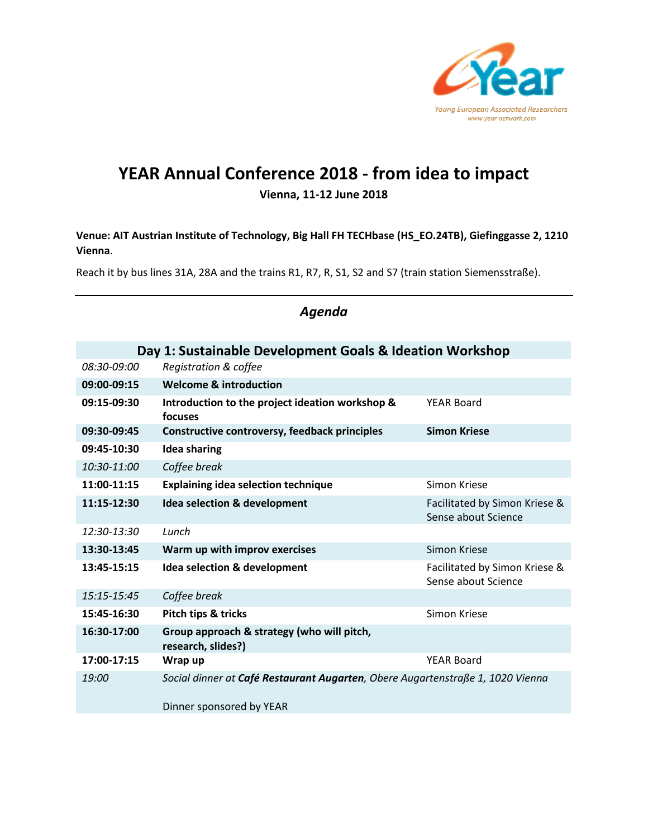

# **YEAR Annual Conference 2018 - from idea to impact**

#### **Vienna, 11-12 June 2018**

**Venue: AIT Austrian Institute of Technology, Big Hall FH TECHbase (HS\_EO.24TB), Giefinggasse 2, 1210 Vienna**.

Reach it by bus lines 31A, 28A and the trains R1, R7, R, S1, S2 and S7 (train station Siemensstraße).

| Day 1: Sustainable Development Goals & Ideation Workshop |                                                                                |                                                      |  |  |
|----------------------------------------------------------|--------------------------------------------------------------------------------|------------------------------------------------------|--|--|
| 08:30-09:00                                              | Registration & coffee                                                          |                                                      |  |  |
| 09:00-09:15                                              | <b>Welcome &amp; introduction</b>                                              |                                                      |  |  |
| 09:15-09:30                                              | Introduction to the project ideation workshop &<br>focuses                     | <b>YEAR Board</b>                                    |  |  |
| 09:30-09:45                                              | Constructive controversy, feedback principles                                  | <b>Simon Kriese</b>                                  |  |  |
| 09:45-10:30                                              | <b>Idea sharing</b>                                                            |                                                      |  |  |
| 10:30-11:00                                              | Coffee break                                                                   |                                                      |  |  |
| 11:00-11:15                                              | <b>Explaining idea selection technique</b>                                     | Simon Kriese                                         |  |  |
| 11:15-12:30                                              | Idea selection & development                                                   | Facilitated by Simon Kriese &<br>Sense about Science |  |  |
| 12:30-13:30                                              | Lunch                                                                          |                                                      |  |  |
| 13:30-13:45                                              | Warm up with improv exercises                                                  | Simon Kriese                                         |  |  |
| 13:45-15:15                                              | Idea selection & development                                                   | Facilitated by Simon Kriese &<br>Sense about Science |  |  |
| 15:15-15:45                                              | Coffee break                                                                   |                                                      |  |  |
| 15:45-16:30                                              | Pitch tips & tricks                                                            | Simon Kriese                                         |  |  |
| 16:30-17:00                                              | Group approach & strategy (who will pitch,<br>research, slides?)               |                                                      |  |  |
| 17:00-17:15                                              | Wrap up                                                                        | <b>YEAR Board</b>                                    |  |  |
| 19:00                                                    | Social dinner at Café Restaurant Augarten, Obere Augartenstraße 1, 1020 Vienna |                                                      |  |  |
|                                                          | Dinner sponsored by YEAR                                                       |                                                      |  |  |

### *Agenda*